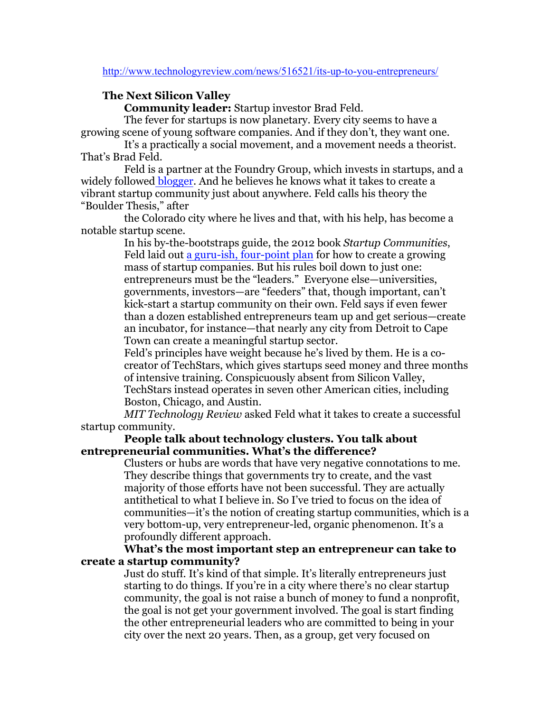#### http://www.technologyreview.com/news/516521/its-up-to-you-entrepreneurs/

## **The Next Silicon Valley**

**Community leader:** Startup investor Brad Feld.

The fever for startups is now planetary. Every city seems to have a growing scene of young software companies. And if they don't, they want one.

It's a practically a social movement, and a movement needs a theorist. That's Brad Feld.

Feld is a partner at the Foundry Group, which invests in startups, and a widely followed blogger. And he believes he knows what it takes to create a vibrant startup community just about anywhere. Feld calls his theory the "Boulder Thesis," after

the Colorado city where he lives and that, with his help, has become a notable startup scene.

> In his by-the-bootstraps guide, the 2012 book *Startup Communities*, Feld laid out a guru-ish, four-point plan for how to create a growing mass of startup companies. But his rules boil down to just one: entrepreneurs must be the "leaders." Everyone else—universities, governments, investors—are "feeders" that, though important, can't kick-start a startup community on their own. Feld says if even fewer than a dozen established entrepreneurs team up and get serious—create an incubator, for instance—that nearly any city from Detroit to Cape Town can create a meaningful startup sector.

> Feld's principles have weight because he's lived by them. He is a cocreator of TechStars, which gives startups seed money and three months of intensive training. Conspicuously absent from Silicon Valley, TechStars instead operates in seven other American cities, including Boston, Chicago, and Austin.

*MIT Technology Review* asked Feld what it takes to create a successful startup community.

#### **People talk about technology clusters. You talk about entrepreneurial communities. What's the difference?**

Clusters or hubs are words that have very negative connotations to me. They describe things that governments try to create, and the vast majority of those efforts have not been successful. They are actually antithetical to what I believe in. So I've tried to focus on the idea of communities—it's the notion of creating startup communities, which is a very bottom-up, very entrepreneur-led, organic phenomenon. It's a profoundly different approach.

**What's the most important step an entrepreneur can take to create a startup community?**

> Just do stuff. It's kind of that simple. It's literally entrepreneurs just starting to do things*.* If you're in a city where there's no clear startup community, the goal is not raise a bunch of money to fund a nonprofit, the goal is not get your government involved. The goal is start finding the other entrepreneurial leaders who are committed to being in your city over the next 20 years. Then, as a group, get very focused on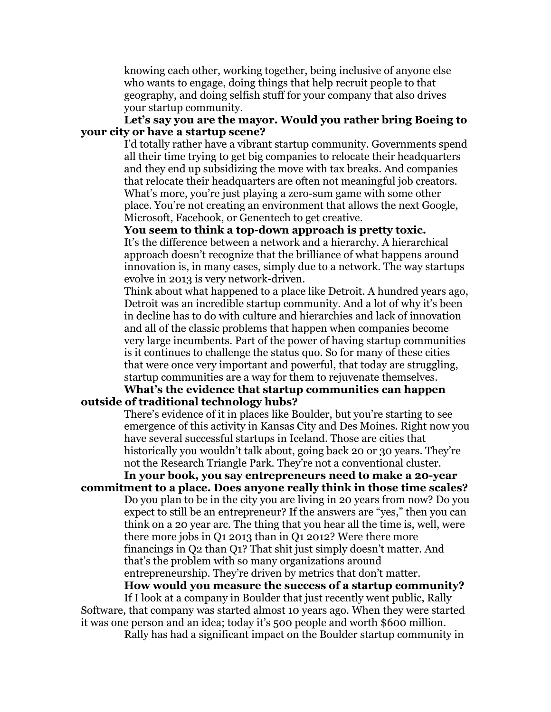knowing each other, working together, being inclusive of anyone else who wants to engage, doing things that help recruit people to that geography, and doing selfish stuff for your company that also drives your startup community.

# **Let's say you are the mayor. Would you rather bring Boeing to your city or have a startup scene?**

I'd totally rather have a vibrant startup community. Governments spend all their time trying to get big companies to relocate their headquarters and they end up subsidizing the move with tax breaks. And companies that relocate their headquarters are often not meaningful job creators. What's more, you're just playing a zero-sum game with some other place. You're not creating an environment that allows the next Google, Microsoft, Facebook, or Genentech to get creative.

**You seem to think a top-down approach is pretty toxic.**

It's the difference between a network and a hierarchy. A hierarchical approach doesn't recognize that the brilliance of what happens around innovation is, in many cases, simply due to a network. The way startups evolve in 2013 is very network-driven.

Think about what happened to a place like Detroit. A hundred years ago, Detroit was an incredible startup community. And a lot of why it's been in decline has to do with culture and hierarchies and lack of innovation and all of the classic problems that happen when companies become very large incumbents. Part of the power of having startup communities is it continues to challenge the status quo. So for many of these cities that were once very important and powerful, that today are struggling, startup communities are a way for them to rejuvenate themselves.

## **What's the evidence that startup communities can happen outside of traditional technology hubs?**

There's evidence of it in places like Boulder, but you're starting to see emergence of this activity in Kansas City and Des Moines. Right now you have several successful startups in Iceland. Those are cities that historically you wouldn't talk about, going back 20 or 30 years. They're not the Research Triangle Park. They're not a conventional cluster.

#### **In your book, you say entrepreneurs need to make a 20-year commitment to a place. Does anyone really think in those time scales?**

Do you plan to be in the city you are living in 20 years from now? Do you expect to still be an entrepreneur? If the answers are "yes," then you can think on a 20 year arc. The thing that you hear all the time is, well, were there more jobs in Q1 2013 than in Q1 2012? Were there more financings in Q2 than Q1? That shit just simply doesn't matter. And that's the problem with so many organizations around entrepreneurship. They're driven by metrics that don't matter.

# **How would you measure the success of a startup community?**

If I look at a company in Boulder that just recently went public, Rally Software, that company was started almost 10 years ago. When they were started it was one person and an idea; today it's 500 people and worth \$600 million.

Rally has had a significant impact on the Boulder startup community in